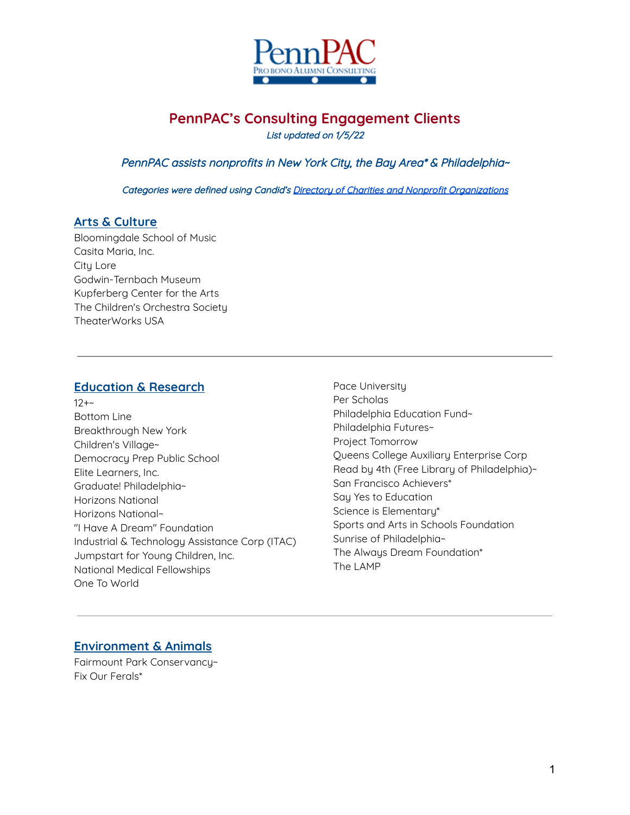

# **PennPAC's Consulting Engagement Clients**

List updated on 1/5/22

PennPAC assists nonprofits in New York City, the Bay Area\* & Philadelphia~

Categories were defined using Candid's Directory of Charities and Nonprofit [Organizations](https://www.guidestar.org/NonprofitDirectory.aspx)

#### **Arts & Culture**

Bloomingdale School of Music Casita Maria, Inc. City Lore Godwin-Ternbach Museum Kupferberg Center for the Arts The Children's Orchestra Society TheaterWorks USA

#### **Education & Research**

- $12+$ Bottom Line Breakthrough New York Children's Village~ Democracy Prep Public School Elite Learners, Inc. Graduate! Philadelphia~ Horizons National Horizons National~ "I Have A Dream" Foundation Industrial & Technology Assistance Corp (ITAC) Jumpstart for Young Children, Inc. National Medical Fellowships One To World
- Pace University Per Scholas Philadelphia Education Fund~ Philadelphia Futures~ Project Tomorrow Queens College Auxiliary Enterprise Corp Read by 4th (Free Library of Philadelphia)~ San Francisco Achievers\* Say Yes to Education Science is Elementary\* Sports and Arts in Schools Foundation Sunrise of Philadelphia~ The Always Dream Foundation\* The LAMP

### **Environment & Animals**

Fairmount Park Conservancy~ Fix Our Ferals\*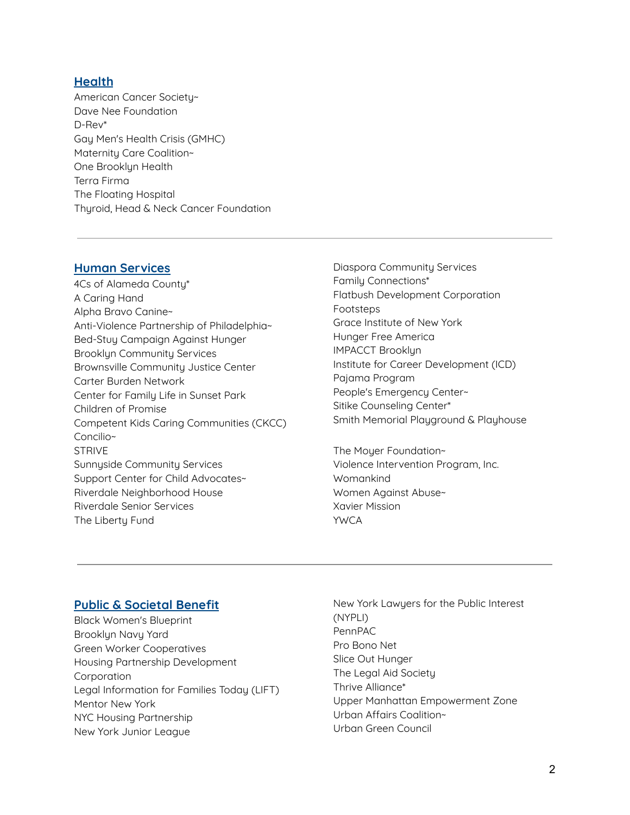#### **Health**

American Cancer Society~ Dave Nee Foundation D-Rev\* Gay Men's Health Crisis (GMHC) Maternity Care Coalition~ One Brooklyn Health Terra Firma The Floating Hospital Thyroid, Head & Neck Cancer Foundation

#### **Human Services**

- 4Cs of Alameda County\* A Caring Hand Alpha Bravo Canine~ Anti-Violence Partnership of Philadelphia~ Bed-Stuy Campaign Against Hunger Brooklyn Community Services Brownsville Community Justice Center Carter Burden Network Center for Family Life in Sunset Park Children of Promise Competent Kids Caring Communities (CKCC) Concilio~ STRIVE Sunnyside Community Services Support Center for Child Advocates~ Riverdale Neighborhood House Riverdale Senior Services The Liberty Fund
- Diaspora Community Services Family Connections\* Flatbush Development Corporation Footsteps Grace Institute of New York Hunger Free America IMPACCT Brooklyn Institute for Career Development (ICD) Pajama Program People's Emergency Center~ Sitike Counseling Center\* Smith Memorial Playground & Playhouse

The Moyer Foundation~ Violence Intervention Program, Inc. Womankind Women Against Abuse~ Xavier Mission YWCA

### **Public & Societal Benefit**

- Black Women's Blueprint Brooklyn Navy Yard Green Worker Cooperatives Housing Partnership Development **Corporation** Legal Information for Families Today (LIFT) Mentor New York NYC Housing Partnership New York Junior League
- New York Lawyers for the Public Interest (NYPLI) PennPAC Pro Bono Net Slice Out Hunger The Legal Aid Society Thrive Alliance\* Upper Manhattan Empowerment Zone Urban Affairs Coalition~ Urban Green Council